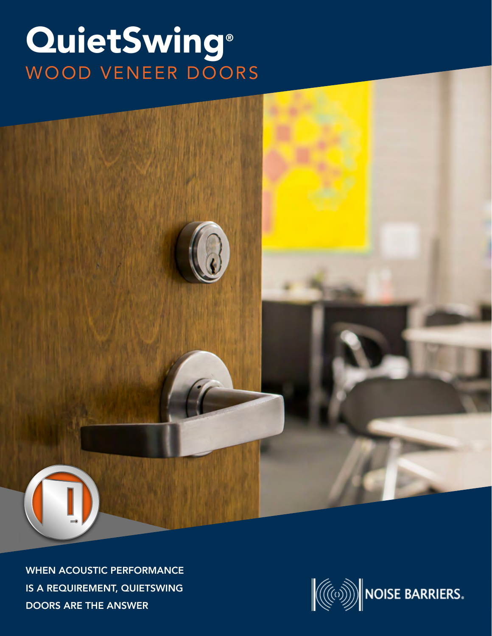## QuietSwing® WOOD VENEER DOORS



WHEN ACOUSTIC PERFORMANCE IS A REQUIREMENT, QUIETSWING DOORS ARE THE ANSWER

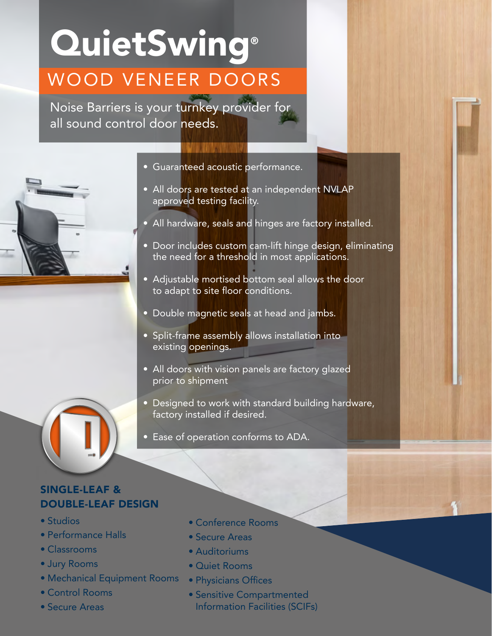## **QuietSwing®** WOOD VENEER DOORS

Noise Barriers is your turnkey provider for all sound control door needs.



- Guaranteed acoustic performance.
- All doors are tested at an independent NVLAP approved testing facility.
- All hardware, seals and hinges are factory installed.
- Door includes custom cam-lift hinge design, eliminating the need for a threshold in most applications.
- Adjustable mortised bottom seal allows the door to adapt to site floor conditions.
- Double magnetic seals at head and jambs.
- Split-frame assembly allows installation into existing openings.
- All doors with vision panels are factory glazed prior to shipment
- Designed to work with standard building hardware, factory installed if desired.
- Ease of operation conforms to ADA.

## SINGLE-LEAF & DOUBLE-LEAF DESIGN

- Studios
- Performance Halls
- Classrooms
- Jury Rooms
- Mechanical Equipment Rooms Physicians Offices
- Control Rooms
- Secure Areas
- Conference Rooms
- Secure Areas
- Auditoriums
- Quiet Rooms
- 
- Sensitive Compartmented Information Facilities (SCIFs)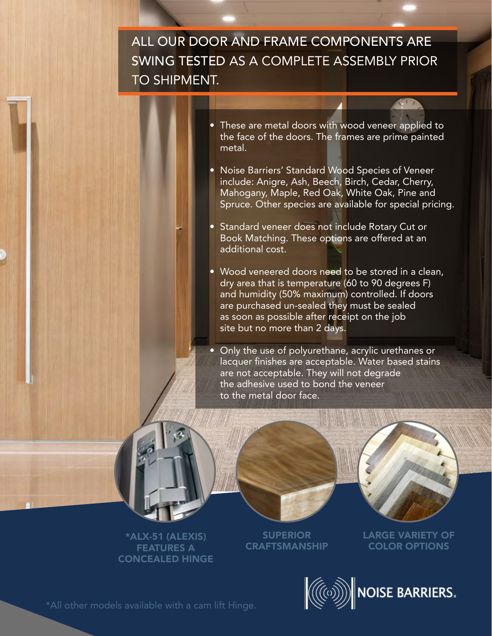ALL OUR DOOR AND FRAME COMPONENTS ARE SWING TESTED AS A COMPLETE ASSEMBLY PRIOR TO SHIPMENT.

- These are metal doors with wood veneer applied to the face of the doors. The frames are prime painted metal.
- Noise Barriers' Standard Wood Species of Veneer include: Anigre, Ash, Beech, Birch, Cedar, Cherry, Mahogany, Maple, Red Oak, White Oak, Pine and Spruce. Other species are available for special pricing.
- Standard veneer does not include Rotary Cut or Book Matching. These options are offered at an additional cost.
- Wood veneered doors need to be stored in a clean, dry area that is temperature (60 to 90 degrees F) and humidity (50% maximum) controlled. If doors are purchased un-sealed they must be sealed as soon as possible after receipt on the job site but no more than 2 days.
- Only the use of polyurethane, acrylic urethanes or lacquer finishes are acceptable. Water based stains are not acceptable. They will not degrade the adhesive used to bond the veneer to the metal door face.



\*ALX-51 (ALEXIS) FEATURES A CONCEALED HINGE

**SUPERIOR CRAFTSMANSHIP**  LARGE VARIETY OF COLOR OPTIONS